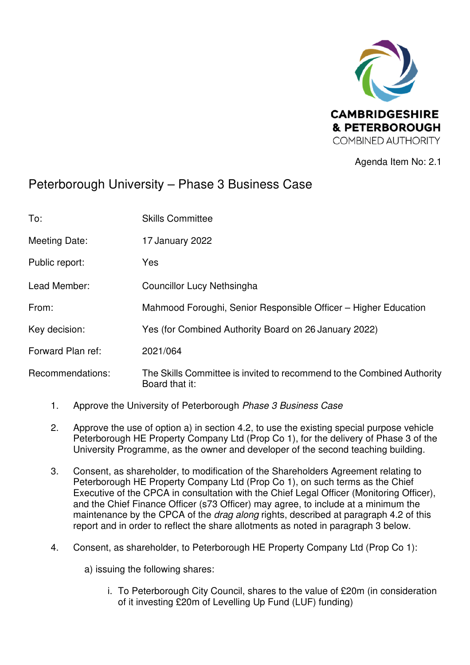

Agenda Item No: 2.1

# Peterborough University – Phase 3 Business Case

| To:               | <b>Skills Committee</b>                                                                  |
|-------------------|------------------------------------------------------------------------------------------|
| Meeting Date:     | 17 January 2022                                                                          |
| Public report:    | Yes                                                                                      |
| Lead Member:      | Councillor Lucy Nethsingha                                                               |
| From:             | Mahmood Foroughi, Senior Responsible Officer – Higher Education                          |
| Key decision:     | Yes (for Combined Authority Board on 26 January 2022)                                    |
| Forward Plan ref: | 2021/064                                                                                 |
| Recommendations:  | The Skills Committee is invited to recommend to the Combined Authority<br>Board that it: |

- 1. Approve the University of Peterborough Phase 3 Business Case
- 2. Approve the use of option a) in section 4.2, to use the existing special purpose vehicle Peterborough HE Property Company Ltd (Prop Co 1), for the delivery of Phase 3 of the University Programme, as the owner and developer of the second teaching building.
- 3. Consent, as shareholder, to modification of the Shareholders Agreement relating to Peterborough HE Property Company Ltd (Prop Co 1), on such terms as the Chief Executive of the CPCA in consultation with the Chief Legal Officer (Monitoring Officer), and the Chief Finance Officer (s73 Officer) may agree, to include at a minimum the maintenance by the CPCA of the *drag along* rights, described at paragraph 4.2 of this report and in order to reflect the share allotments as noted in paragraph 3 below.
- 4. Consent, as shareholder, to Peterborough HE Property Company Ltd (Prop Co 1):

a) issuing the following shares:

i. To Peterborough City Council, shares to the value of £20m (in consideration of it investing £20m of Levelling Up Fund (LUF) funding)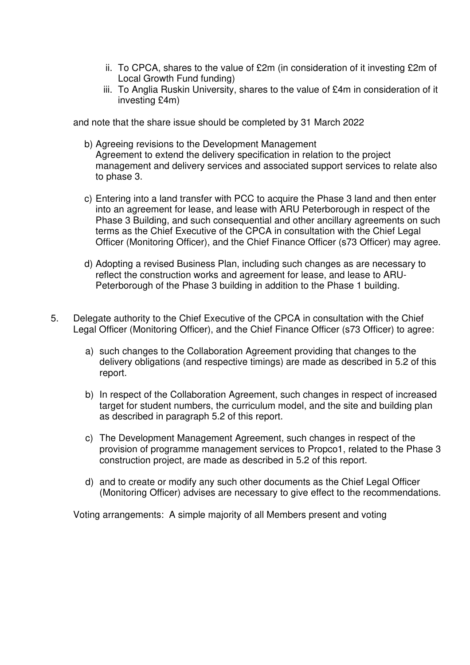- ii. To CPCA, shares to the value of £2m (in consideration of it investing £2m of Local Growth Fund funding)
- iii. To Anglia Ruskin University, shares to the value of £4m in consideration of it investing £4m)

and note that the share issue should be completed by 31 March 2022

- b) Agreeing revisions to the Development Management Agreement to extend the delivery specification in relation to the project management and delivery services and associated support services to relate also to phase 3.
- c) Entering into a land transfer with PCC to acquire the Phase 3 land and then enter into an agreement for lease, and lease with ARU Peterborough in respect of the Phase 3 Building, and such consequential and other ancillary agreements on such terms as the Chief Executive of the CPCA in consultation with the Chief Legal Officer (Monitoring Officer), and the Chief Finance Officer (s73 Officer) may agree.
- d) Adopting a revised Business Plan, including such changes as are necessary to reflect the construction works and agreement for lease, and lease to ARU-Peterborough of the Phase 3 building in addition to the Phase 1 building.
- 5. Delegate authority to the Chief Executive of the CPCA in consultation with the Chief Legal Officer (Monitoring Officer), and the Chief Finance Officer (s73 Officer) to agree:
	- a) such changes to the Collaboration Agreement providing that changes to the delivery obligations (and respective timings) are made as described in 5.2 of this report.
	- b) In respect of the Collaboration Agreement, such changes in respect of increased target for student numbers, the curriculum model, and the site and building plan as described in paragraph 5.2 of this report.
	- c) The Development Management Agreement, such changes in respect of the provision of programme management services to Propco1, related to the Phase 3 construction project, are made as described in 5.2 of this report.
	- d) and to create or modify any such other documents as the Chief Legal Officer (Monitoring Officer) advises are necessary to give effect to the recommendations.

Voting arrangements: A simple majority of all Members present and voting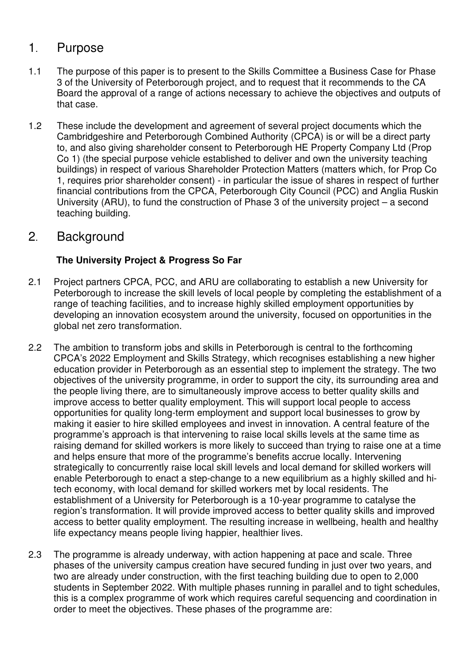## 1. Purpose

- 1.1 The purpose of this paper is to present to the Skills Committee a Business Case for Phase 3 of the University of Peterborough project, and to request that it recommends to the CA Board the approval of a range of actions necessary to achieve the objectives and outputs of that case.
- 1.2 These include the development and agreement of several project documents which the Cambridgeshire and Peterborough Combined Authority (CPCA) is or will be a direct party to, and also giving shareholder consent to Peterborough HE Property Company Ltd (Prop Co 1) (the special purpose vehicle established to deliver and own the university teaching buildings) in respect of various Shareholder Protection Matters (matters which, for Prop Co 1, requires prior shareholder consent) - in particular the issue of shares in respect of further financial contributions from the CPCA, Peterborough City Council (PCC) and Anglia Ruskin University (ARU), to fund the construction of Phase 3 of the university project – a second teaching building.

## 2. Background

### **The University Project & Progress So Far**

- 2.1 Project partners CPCA, PCC, and ARU are collaborating to establish a new University for Peterborough to increase the skill levels of local people by completing the establishment of a range of teaching facilities, and to increase highly skilled employment opportunities by developing an innovation ecosystem around the university, focused on opportunities in the global net zero transformation.
- 2.2 The ambition to transform jobs and skills in Peterborough is central to the forthcoming CPCA's 2022 Employment and Skills Strategy, which recognises establishing a new higher education provider in Peterborough as an essential step to implement the strategy. The two objectives of the university programme, in order to support the city, its surrounding area and the people living there, are to simultaneously improve access to better quality skills and improve access to better quality employment. This will support local people to access opportunities for quality long-term employment and support local businesses to grow by making it easier to hire skilled employees and invest in innovation. A central feature of the programme's approach is that intervening to raise local skills levels at the same time as raising demand for skilled workers is more likely to succeed than trying to raise one at a time and helps ensure that more of the programme's benefits accrue locally. Intervening strategically to concurrently raise local skill levels and local demand for skilled workers will enable Peterborough to enact a step-change to a new equilibrium as a highly skilled and hitech economy, with local demand for skilled workers met by local residents. The establishment of a University for Peterborough is a 10-year programme to catalyse the region's transformation. It will provide improved access to better quality skills and improved access to better quality employment. The resulting increase in wellbeing, health and healthy life expectancy means people living happier, healthier lives.
- 2.3 The programme is already underway, with action happening at pace and scale. Three phases of the university campus creation have secured funding in just over two years, and two are already under construction, with the first teaching building due to open to 2,000 students in September 2022. With multiple phases running in parallel and to tight schedules, this is a complex programme of work which requires careful sequencing and coordination in order to meet the objectives. These phases of the programme are: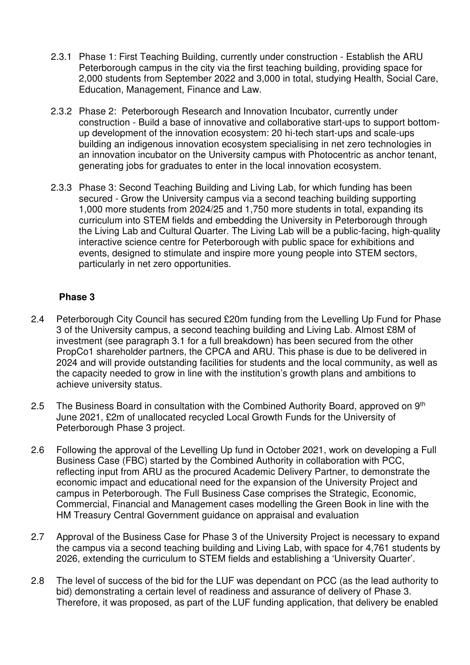- 2.3.1 Phase 1: First Teaching Building, currently under construction Establish the ARU Peterborough campus in the city via the first teaching building, providing space for 2,000 students from September 2022 and 3,000 in total, studying Health, Social Care, Education, Management, Finance and Law.
- 2.3.2 Phase 2: Peterborough Research and Innovation Incubator, currently under construction - Build a base of innovative and collaborative start-ups to support bottomup development of the innovation ecosystem: 20 hi-tech start-ups and scale-ups building an indigenous innovation ecosystem specialising in net zero technologies in an innovation incubator on the University campus with Photocentric as anchor tenant, generating jobs for graduates to enter in the local innovation ecosystem.
- 2.3.3 Phase 3: Second Teaching Building and Living Lab, for which funding has been secured - Grow the University campus via a second teaching building supporting 1,000 more students from 2024/25 and 1,750 more students in total, expanding its curriculum into STEM fields and embedding the University in Peterborough through the Living Lab and Cultural Quarter. The Living Lab will be a public-facing, high-quality interactive science centre for Peterborough with public space for exhibitions and events, designed to stimulate and inspire more young people into STEM sectors, particularly in net zero opportunities.

#### **Phase 3**

- 2.4 Peterborough City Council has secured £20m funding from the Levelling Up Fund for Phase 3 of the University campus, a second teaching building and Living Lab. Almost £8M of investment (see paragraph 3.1 for a full breakdown) has been secured from the other PropCo1 shareholder partners, the CPCA and ARU. This phase is due to be delivered in 2024 and will provide outstanding facilities for students and the local community, as well as the capacity needed to grow in line with the institution's growth plans and ambitions to achieve university status.
- 2.5 The Business Board in consultation with the Combined Authority Board, approved on 9<sup>th</sup> June 2021, £2m of unallocated recycled Local Growth Funds for the University of Peterborough Phase 3 project.
- 2.6 Following the approval of the Levelling Up fund in October 2021, work on developing a Full Business Case (FBC) started by the Combined Authority in collaboration with PCC, reflecting input from ARU as the procured Academic Delivery Partner, to demonstrate the economic impact and educational need for the expansion of the University Project and campus in Peterborough. The Full Business Case comprises the Strategic, Economic, Commercial, Financial and Management cases modelling the Green Book in line with the HM Treasury Central Government guidance on appraisal and evaluation
- 2.7 Approval of the Business Case for Phase 3 of the University Project is necessary to expand the campus via a second teaching building and Living Lab, with space for 4,761 students by 2026, extending the curriculum to STEM fields and establishing a 'University Quarter'.
- 2.8 The level of success of the bid for the LUF was dependant on PCC (as the lead authority to bid) demonstrating a certain level of readiness and assurance of delivery of Phase 3. Therefore, it was proposed, as part of the LUF funding application, that delivery be enabled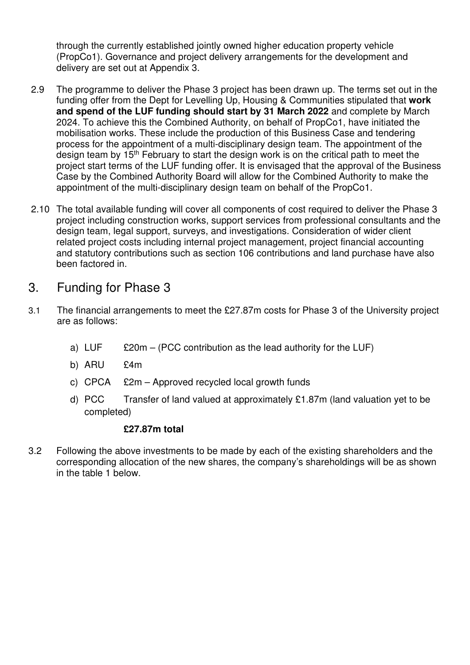through the currently established jointly owned higher education property vehicle (PropCo1). Governance and project delivery arrangements for the development and delivery are set out at Appendix 3.

- 2.9 The programme to deliver the Phase 3 project has been drawn up. The terms set out in the funding offer from the Dept for Levelling Up, Housing & Communities stipulated that **work and spend of the LUF funding should start by 31 March 2022** and complete by March 2024. To achieve this the Combined Authority, on behalf of PropCo1, have initiated the mobilisation works. These include the production of this Business Case and tendering process for the appointment of a multi-disciplinary design team. The appointment of the design team by 15th February to start the design work is on the critical path to meet the project start terms of the LUF funding offer. It is envisaged that the approval of the Business Case by the Combined Authority Board will allow for the Combined Authority to make the appointment of the multi-disciplinary design team on behalf of the PropCo1.
- 2.10 The total available funding will cover all components of cost required to deliver the Phase 3 project including construction works, support services from professional consultants and the design team, legal support, surveys, and investigations. Consideration of wider client related project costs including internal project management, project financial accounting and statutory contributions such as section 106 contributions and land purchase have also been factored in.

### 3. Funding for Phase 3

- 3.1 The financial arrangements to meet the £27.87m costs for Phase 3 of the University project are as follows:
	- a)  $LUF$  £20m (PCC contribution as the lead authority for the LUF)
	- b) ARU £4m
	- c) CPCA £2m Approved recycled local growth funds
	- d) PCC Transfer of land valued at approximately  $£1.87m$  (land valuation yet to be completed)

#### **£27.87m total**

3.2 Following the above investments to be made by each of the existing shareholders and the corresponding allocation of the new shares, the company's shareholdings will be as shown in the table 1 below.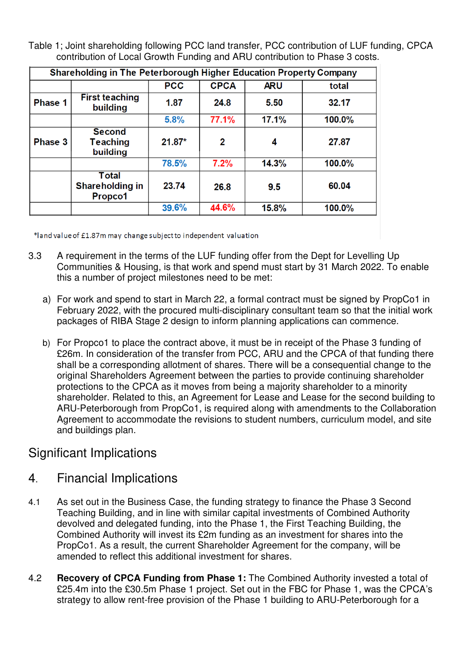Table 1; Joint shareholding following PCC land transfer, PCC contribution of LUF funding, CPCA contribution of Local Growth Funding and ARU contribution to Phase 3 costs.

| Shareholding in The Peterborough Higher Education Property Company |                                              |            |             |            |        |
|--------------------------------------------------------------------|----------------------------------------------|------------|-------------|------------|--------|
|                                                                    |                                              | <b>PCC</b> | <b>CPCA</b> | <b>ARU</b> | total  |
| Phase 1                                                            | <b>First teaching</b><br>building            | 1.87       | 24.8        | 5.50       | 32.17  |
|                                                                    |                                              | 5.8%       | 77.1%       | 17.1%      | 100.0% |
| Phase 3                                                            | <b>Second</b><br><b>Teaching</b><br>building | $21.87*$   | 2           | 4          | 27.87  |
|                                                                    |                                              | 78.5%      | 7.2%        | 14.3%      | 100.0% |
|                                                                    | Total<br><b>Shareholding in</b><br>Propco1   | 23.74      | 26.8        | 9.5        | 60.04  |
|                                                                    |                                              | 39.6%      | 44.6%       | 15.8%      | 100.0% |
|                                                                    |                                              |            |             |            |        |

\*land value of £1.87m may change subject to independent valuation

- 3.3 A requirement in the terms of the LUF funding offer from the Dept for Levelling Up Communities & Housing, is that work and spend must start by 31 March 2022. To enable this a number of project milestones need to be met:
	- a) For work and spend to start in March 22, a formal contract must be signed by PropCo1 in February 2022, with the procured multi-disciplinary consultant team so that the initial work packages of RIBA Stage 2 design to inform planning applications can commence.
	- b) For Propco1 to place the contract above, it must be in receipt of the Phase 3 funding of £26m. In consideration of the transfer from PCC, ARU and the CPCA of that funding there shall be a corresponding allotment of shares. There will be a consequential change to the original Shareholders Agreement between the parties to provide continuing shareholder protections to the CPCA as it moves from being a majority shareholder to a minority shareholder. Related to this, an Agreement for Lease and Lease for the second building to ARU-Peterborough from PropCo1, is required along with amendments to the Collaboration Agreement to accommodate the revisions to student numbers, curriculum model, and site and buildings plan.

## Significant Implications

## 4. Financial Implications

- 4.1 As set out in the Business Case, the funding strategy to finance the Phase 3 Second Teaching Building, and in line with similar capital investments of Combined Authority devolved and delegated funding, into the Phase 1, the First Teaching Building, the Combined Authority will invest its £2m funding as an investment for shares into the PropCo1. As a result, the current Shareholder Agreement for the company, will be amended to reflect this additional investment for shares.
- 4.2 **Recovery of CPCA Funding from Phase 1:** The Combined Authority invested a total of £25.4m into the £30.5m Phase 1 project. Set out in the FBC for Phase 1, was the CPCA's strategy to allow rent-free provision of the Phase 1 building to ARU-Peterborough for a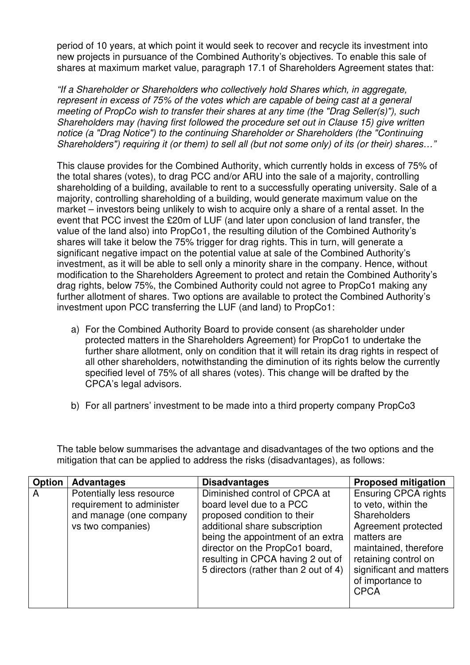period of 10 years, at which point it would seek to recover and recycle its investment into new projects in pursuance of the Combined Authority's objectives. To enable this sale of shares at maximum market value, paragraph 17.1 of Shareholders Agreement states that:

"If a Shareholder or Shareholders who collectively hold Shares which, in aggregate, represent in excess of 75% of the votes which are capable of being cast at a general meeting of PropCo wish to transfer their shares at any time (the "Drag Seller(s)"), such Shareholders may (having first followed the procedure set out in Clause 15) give written notice (a "Drag Notice") to the continuing Shareholder or Shareholders (the "Continuing Shareholders") requiring it (or them) to sell all (but not some only) of its (or their) shares…"

This clause provides for the Combined Authority, which currently holds in excess of 75% of the total shares (votes), to drag PCC and/or ARU into the sale of a majority, controlling shareholding of a building, available to rent to a successfully operating university. Sale of a majority, controlling shareholding of a building, would generate maximum value on the market – investors being unlikely to wish to acquire only a share of a rental asset. In the event that PCC invest the £20m of LUF (and later upon conclusion of land transfer, the value of the land also) into PropCo1, the resulting dilution of the Combined Authority's shares will take it below the 75% trigger for drag rights. This in turn, will generate a significant negative impact on the potential value at sale of the Combined Authority's investment, as it will be able to sell only a minority share in the company. Hence, without modification to the Shareholders Agreement to protect and retain the Combined Authority's drag rights, below 75%, the Combined Authority could not agree to PropCo1 making any further allotment of shares. Two options are available to protect the Combined Authority's investment upon PCC transferring the LUF (and land) to PropCo1:

- a) For the Combined Authority Board to provide consent (as shareholder under protected matters in the Shareholders Agreement) for PropCo1 to undertake the further share allotment, only on condition that it will retain its drag rights in respect of all other shareholders, notwithstanding the diminution of its rights below the currently specified level of 75% of all shares (votes). This change will be drafted by the CPCA's legal advisors.
- b) For all partners' investment to be made into a third property company PropCo3

The table below summarises the advantage and disadvantages of the two options and the mitigation that can be applied to address the risks (disadvantages), as follows:

| <b>Option</b> | <b>Advantages</b>                                                                                      | <b>Disadvantages</b>                                                                                                                                                                                                                                                          | <b>Proposed mitigation</b>                                                                                                                                                                                                     |
|---------------|--------------------------------------------------------------------------------------------------------|-------------------------------------------------------------------------------------------------------------------------------------------------------------------------------------------------------------------------------------------------------------------------------|--------------------------------------------------------------------------------------------------------------------------------------------------------------------------------------------------------------------------------|
| A             | Potentially less resource<br>requirement to administer<br>and manage (one company<br>vs two companies) | Diminished control of CPCA at<br>board level due to a PCC<br>proposed condition to their<br>additional share subscription<br>being the appointment of an extra<br>director on the PropCo1 board,<br>resulting in CPCA having 2 out of<br>5 directors (rather than 2 out of 4) | <b>Ensuring CPCA rights</b><br>to veto, within the<br><b>Shareholders</b><br>Agreement protected<br>matters are<br>maintained, therefore<br>retaining control on<br>significant and matters<br>of importance to<br><b>CPCA</b> |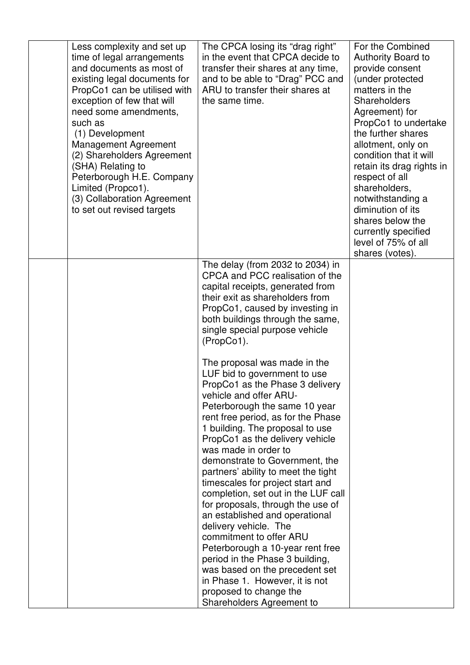| Less complexity and set up<br>time of legal arrangements<br>and documents as most of<br>existing legal documents for<br>PropCo1 can be utilised with<br>exception of few that will<br>need some amendments,<br>such as<br>(1) Development<br><b>Management Agreement</b><br>(2) Shareholders Agreement<br>(SHA) Relating to<br>Peterborough H.E. Company<br>Limited (Propco1).<br>(3) Collaboration Agreement<br>to set out revised targets | The CPCA losing its "drag right"<br>in the event that CPCA decide to<br>transfer their shares at any time,<br>and to be able to "Drag" PCC and<br>ARU to transfer their shares at<br>the same time.                                                                                                                                                                                                                                                                                                                                                                                                                                                                                                                                                                                                                                                                                                                       | For the Combined<br>Authority Board to<br>provide consent<br>(under protected<br>matters in the<br>Shareholders<br>Agreement) for<br>PropCo1 to undertake<br>the further shares<br>allotment, only on<br>condition that it will<br>retain its drag rights in<br>respect of all<br>shareholders,<br>notwithstanding a<br>diminution of its<br>shares below the<br>currently specified<br>level of 75% of all<br>shares (votes). |
|---------------------------------------------------------------------------------------------------------------------------------------------------------------------------------------------------------------------------------------------------------------------------------------------------------------------------------------------------------------------------------------------------------------------------------------------|---------------------------------------------------------------------------------------------------------------------------------------------------------------------------------------------------------------------------------------------------------------------------------------------------------------------------------------------------------------------------------------------------------------------------------------------------------------------------------------------------------------------------------------------------------------------------------------------------------------------------------------------------------------------------------------------------------------------------------------------------------------------------------------------------------------------------------------------------------------------------------------------------------------------------|--------------------------------------------------------------------------------------------------------------------------------------------------------------------------------------------------------------------------------------------------------------------------------------------------------------------------------------------------------------------------------------------------------------------------------|
|                                                                                                                                                                                                                                                                                                                                                                                                                                             | The delay (from 2032 to 2034) in<br>CPCA and PCC realisation of the<br>capital receipts, generated from<br>their exit as shareholders from<br>PropCo1, caused by investing in<br>both buildings through the same,<br>single special purpose vehicle<br>(PropCo1).<br>The proposal was made in the<br>LUF bid to government to use<br>PropCo1 as the Phase 3 delivery<br>vehicle and offer ARU-<br>Peterborough the same 10 year<br>rent free period, as for the Phase<br>1 building. The proposal to use<br>PropCo1 as the delivery vehicle<br>was made in order to<br>demonstrate to Government, the<br>partners' ability to meet the tight<br>timescales for project start and<br>completion, set out in the LUF call<br>for proposals, through the use of<br>an established and operational<br>delivery vehicle. The<br>commitment to offer ARU<br>Peterborough a 10-year rent free<br>period in the Phase 3 building, |                                                                                                                                                                                                                                                                                                                                                                                                                                |
|                                                                                                                                                                                                                                                                                                                                                                                                                                             | was based on the precedent set<br>in Phase 1. However, it is not<br>proposed to change the<br>Shareholders Agreement to                                                                                                                                                                                                                                                                                                                                                                                                                                                                                                                                                                                                                                                                                                                                                                                                   |                                                                                                                                                                                                                                                                                                                                                                                                                                |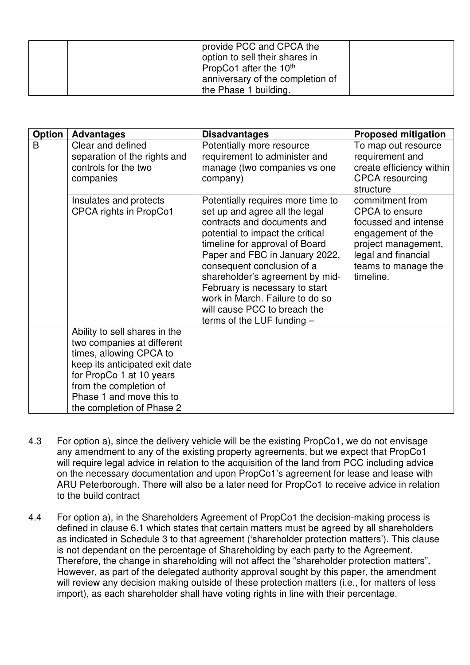| provide PCC and CPCA the<br>option to sell their shares in<br>PropCo1 after the 10 <sup>th</sup> |  |
|--------------------------------------------------------------------------------------------------|--|
| anniversary of the completion of<br>the Phase 1 building.                                        |  |

| <b>Option</b> | <b>Advantages</b>                                                                                                                                                                                                                       | <b>Disadvantages</b>                                                                                                                                                                                                                                                                                                                                                                                             | <b>Proposed mitigation</b>                                                                                                                                              |
|---------------|-----------------------------------------------------------------------------------------------------------------------------------------------------------------------------------------------------------------------------------------|------------------------------------------------------------------------------------------------------------------------------------------------------------------------------------------------------------------------------------------------------------------------------------------------------------------------------------------------------------------------------------------------------------------|-------------------------------------------------------------------------------------------------------------------------------------------------------------------------|
| B             | Clear and defined<br>separation of the rights and<br>controls for the two<br>companies                                                                                                                                                  | Potentially more resource<br>requirement to administer and<br>manage (two companies vs one<br>company)                                                                                                                                                                                                                                                                                                           | To map out resource<br>requirement and<br>create efficiency within<br><b>CPCA</b> resourcing<br>structure                                                               |
|               | Insulates and protects<br>CPCA rights in PropCo1                                                                                                                                                                                        | Potentially requires more time to<br>set up and agree all the legal<br>contracts and documents and<br>potential to impact the critical<br>timeline for approval of Board<br>Paper and FBC in January 2022,<br>consequent conclusion of a<br>shareholder's agreement by mid-<br>February is necessary to start<br>work in March. Failure to do so<br>will cause PCC to breach the<br>terms of the LUF funding $-$ | commitment from<br><b>CPCA</b> to ensure<br>focussed and intense<br>engagement of the<br>project management,<br>legal and financial<br>teams to manage the<br>timeline. |
|               | Ability to sell shares in the<br>two companies at different<br>times, allowing CPCA to<br>keep its anticipated exit date<br>for PropCo 1 at 10 years<br>from the completion of<br>Phase 1 and move this to<br>the completion of Phase 2 |                                                                                                                                                                                                                                                                                                                                                                                                                  |                                                                                                                                                                         |

- 4.3 For option a), since the delivery vehicle will be the existing PropCo1, we do not envisage any amendment to any of the existing property agreements, but we expect that PropCo1 will require legal advice in relation to the acquisition of the land from PCC including advice on the necessary documentation and upon PropCo1's agreement for lease and lease with ARU Peterborough. There will also be a later need for PropCo1 to receive advice in relation to the build contract
- 4.4 For option a), in the Shareholders Agreement of PropCo1 the decision-making process is defined in clause 6.1 which states that certain matters must be agreed by all shareholders as indicated in Schedule 3 to that agreement ('shareholder protection matters'). This clause is not dependant on the percentage of Shareholding by each party to the Agreement. Therefore, the change in shareholding will not affect the "shareholder protection matters". However, as part of the delegated authority approval sought by this paper, the amendment will review any decision making outside of these protection matters (i.e., for matters of less import), as each shareholder shall have voting rights in line with their percentage.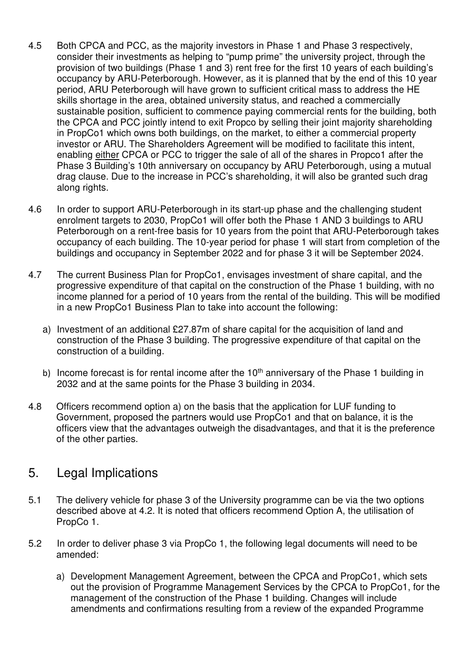- 4.5 Both CPCA and PCC, as the majority investors in Phase 1 and Phase 3 respectively, consider their investments as helping to "pump prime" the university project, through the provision of two buildings (Phase 1 and 3) rent free for the first 10 years of each building's occupancy by ARU-Peterborough. However, as it is planned that by the end of this 10 year period, ARU Peterborough will have grown to sufficient critical mass to address the HE skills shortage in the area, obtained university status, and reached a commercially sustainable position, sufficient to commence paying commercial rents for the building, both the CPCA and PCC jointly intend to exit Propco by selling their joint majority shareholding in PropCo1 which owns both buildings, on the market, to either a commercial property investor or ARU. The Shareholders Agreement will be modified to facilitate this intent, enabling either CPCA or PCC to trigger the sale of all of the shares in Propco1 after the Phase 3 Building's 10th anniversary on occupancy by ARU Peterborough, using a mutual drag clause. Due to the increase in PCC's shareholding, it will also be granted such drag along rights.
- 4.6 In order to support ARU-Peterborough in its start-up phase and the challenging student enrolment targets to 2030, PropCo1 will offer both the Phase 1 AND 3 buildings to ARU Peterborough on a rent-free basis for 10 years from the point that ARU-Peterborough takes occupancy of each building. The 10-year period for phase 1 will start from completion of the buildings and occupancy in September 2022 and for phase 3 it will be September 2024.
- 4.7 The current Business Plan for PropCo1, envisages investment of share capital, and the progressive expenditure of that capital on the construction of the Phase 1 building, with no income planned for a period of 10 years from the rental of the building. This will be modified in a new PropCo1 Business Plan to take into account the following:
	- a) Investment of an additional £27.87m of share capital for the acquisition of land and construction of the Phase 3 building. The progressive expenditure of that capital on the construction of a building.
	- b) Income forecast is for rental income after the  $10<sup>th</sup>$  anniversary of the Phase 1 building in 2032 and at the same points for the Phase 3 building in 2034.
- 4.8 Officers recommend option a) on the basis that the application for LUF funding to Government, proposed the partners would use PropCo1 and that on balance, it is the officers view that the advantages outweigh the disadvantages, and that it is the preference of the other parties.

### 5. Legal Implications

- 5.1 The delivery vehicle for phase 3 of the University programme can be via the two options described above at 4.2. It is noted that officers recommend Option A, the utilisation of PropCo 1.
- 5.2 In order to deliver phase 3 via PropCo 1, the following legal documents will need to be amended:
	- a) Development Management Agreement, between the CPCA and PropCo1, which sets out the provision of Programme Management Services by the CPCA to PropCo1, for the management of the construction of the Phase 1 building. Changes will include amendments and confirmations resulting from a review of the expanded Programme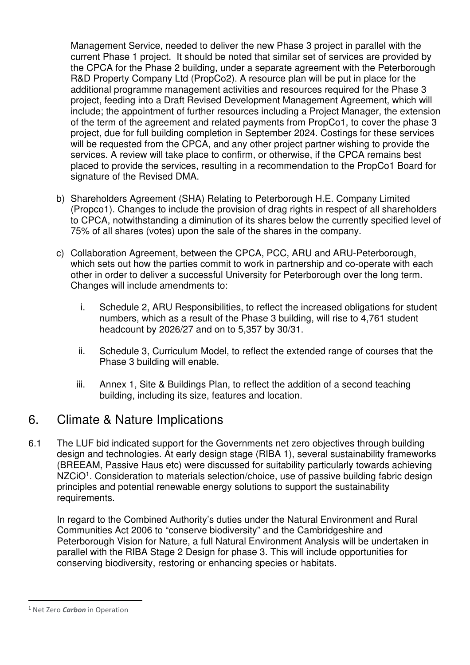Management Service, needed to deliver the new Phase 3 project in parallel with the current Phase 1 project. It should be noted that similar set of services are provided by the CPCA for the Phase 2 building, under a separate agreement with the Peterborough R&D Property Company Ltd (PropCo2). A resource plan will be put in place for the additional programme management activities and resources required for the Phase 3 project, feeding into a Draft Revised Development Management Agreement, which will include; the appointment of further resources including a Project Manager, the extension of the term of the agreement and related payments from PropCo1, to cover the phase 3 project, due for full building completion in September 2024. Costings for these services will be requested from the CPCA, and any other project partner wishing to provide the services. A review will take place to confirm, or otherwise, if the CPCA remains best placed to provide the services, resulting in a recommendation to the PropCo1 Board for signature of the Revised DMA.

- b) Shareholders Agreement (SHA) Relating to Peterborough H.E. Company Limited (Propco1). Changes to include the provision of drag rights in respect of all shareholders to CPCA, notwithstanding a diminution of its shares below the currently specified level of 75% of all shares (votes) upon the sale of the shares in the company.
- c) Collaboration Agreement, between the CPCA, PCC, ARU and ARU-Peterborough, which sets out how the parties commit to work in partnership and co-operate with each other in order to deliver a successful University for Peterborough over the long term. Changes will include amendments to:
	- i. Schedule 2, ARU Responsibilities, to reflect the increased obligations for student numbers, which as a result of the Phase 3 building, will rise to 4,761 student headcount by 2026/27 and on to 5,357 by 30/31.
	- ii. Schedule 3, Curriculum Model, to reflect the extended range of courses that the Phase 3 building will enable.
	- iii. Annex 1, Site & Buildings Plan, to reflect the addition of a second teaching building, including its size, features and location.

## 6. Climate & Nature Implications

6.1 The LUF bid indicated support for the Governments net zero objectives through building design and technologies. At early design stage (RIBA 1), several sustainability frameworks (BREEAM, Passive Haus etc) were discussed for suitability particularly towards achieving NZCiO<sup>1</sup>. Consideration to materials selection/choice, use of passive building fabric design principles and potential renewable energy solutions to support the sustainability requirements.

In regard to the Combined Authority's duties under the Natural Environment and Rural Communities Act 2006 to "conserve biodiversity" and the Cambridgeshire and Peterborough Vision for Nature, a full Natural Environment Analysis will be undertaken in parallel with the RIBA Stage 2 Design for phase 3. This will include opportunities for conserving biodiversity, restoring or enhancing species or habitats.

<sup>1</sup> Net Zero *Carbon* in Operation